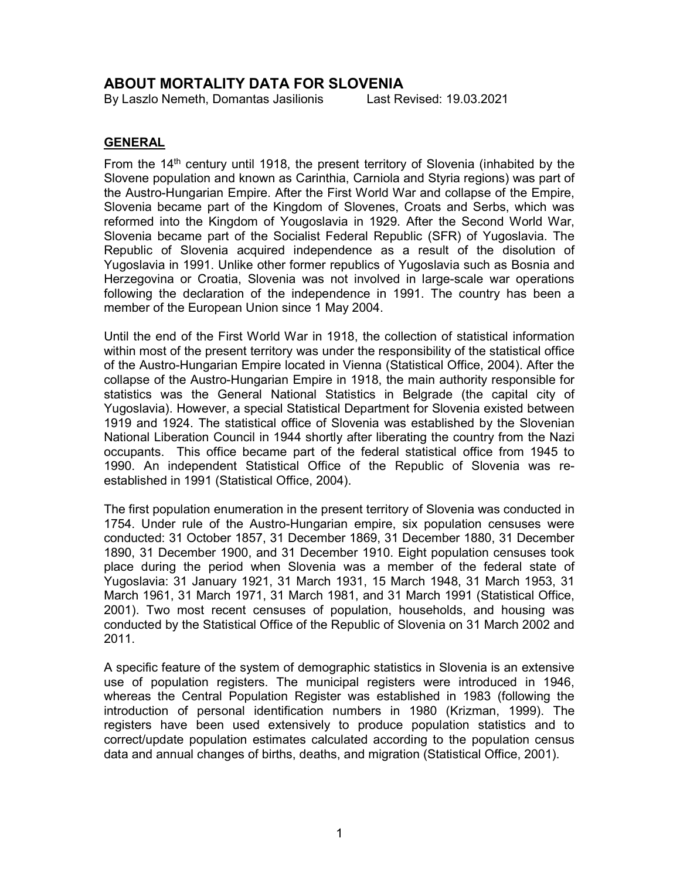# ABOUT MORTALITY DATA FOR SLOVENIA

By Laszlo Nemeth, Domantas Jasilionis Last Revised: 19.03.2021

## GENERAL

From the 14th century until 1918, the present territory of Slovenia (inhabited by the Slovene population and known as Carinthia, Carniola and Styria regions) was part of the Austro-Hungarian Empire. After the First World War and collapse of the Empire, Slovenia became part of the Kingdom of Slovenes, Croats and Serbs, which was reformed into the Kingdom of Yougoslavia in 1929. After the Second World War, Slovenia became part of the Socialist Federal Republic (SFR) of Yugoslavia. The Republic of Slovenia acquired independence as a result of the disolution of Yugoslavia in 1991. Unlike other former republics of Yugoslavia such as Bosnia and Herzegovina or Croatia, Slovenia was not involved in large-scale war operations following the declaration of the independence in 1991. The country has been a member of the European Union since 1 May 2004.

Until the end of the First World War in 1918, the collection of statistical information within most of the present territory was under the responsibility of the statistical office of the Austro-Hungarian Empire located in Vienna (Statistical Office, 2004). After the collapse of the Austro-Hungarian Empire in 1918, the main authority responsible for statistics was the General National Statistics in Belgrade (the capital city of Yugoslavia). However, a special Statistical Department for Slovenia existed between 1919 and 1924. The statistical office of Slovenia was established by the Slovenian National Liberation Council in 1944 shortly after liberating the country from the Nazi occupants. This office became part of the federal statistical office from 1945 to 1990. An independent Statistical Office of the Republic of Slovenia was reestablished in 1991 (Statistical Office, 2004).

The first population enumeration in the present territory of Slovenia was conducted in 1754. Under rule of the Austro-Hungarian empire, six population censuses were conducted: 31 October 1857, 31 December 1869, 31 December 1880, 31 December 1890, 31 December 1900, and 31 December 1910. Eight population censuses took place during the period when Slovenia was a member of the federal state of Yugoslavia: 31 January 1921, 31 March 1931, 15 March 1948, 31 March 1953, 31 March 1961, 31 March 1971, 31 March 1981, and 31 March 1991 (Statistical Office, 2001). Two most recent censuses of population, households, and housing was conducted by the Statistical Office of the Republic of Slovenia on 31 March 2002 and 2011.

A specific feature of the system of demographic statistics in Slovenia is an extensive use of population registers. The municipal registers were introduced in 1946, whereas the Central Population Register was established in 1983 (following the introduction of personal identification numbers in 1980 (Krizman, 1999). The registers have been used extensively to produce population statistics and to correct/update population estimates calculated according to the population census data and annual changes of births, deaths, and migration (Statistical Office, 2001).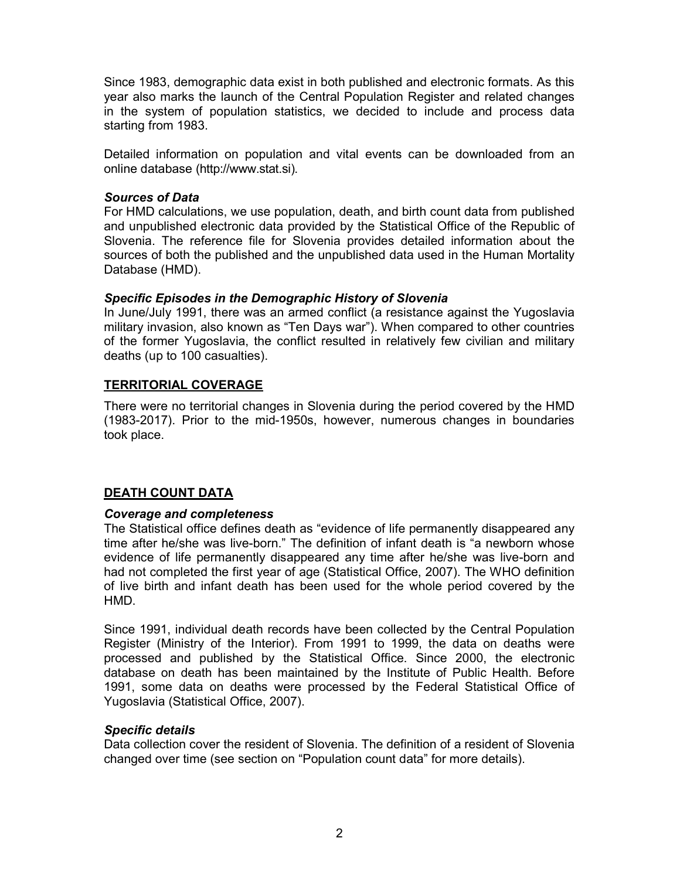Since 1983, demographic data exist in both published and electronic formats. As this year also marks the launch of the Central Population Register and related changes in the system of population statistics, we decided to include and process data starting from 1983.

Detailed information on population and vital events can be downloaded from an online database (http://www.stat.si).

#### Sources of Data

For HMD calculations, we use population, death, and birth count data from published and unpublished electronic data provided by the Statistical Office of the Republic of Slovenia. The reference file for Slovenia provides detailed information about the sources of both the published and the unpublished data used in the Human Mortality Database (HMD).

#### Specific Episodes in the Demographic History of Slovenia

In June/July 1991, there was an armed conflict (a resistance against the Yugoslavia military invasion, also known as "Ten Days war"). When compared to other countries of the former Yugoslavia, the conflict resulted in relatively few civilian and military deaths (up to 100 casualties).

#### TERRITORIAL COVERAGE

There were no territorial changes in Slovenia during the period covered by the HMD (1983-2017). Prior to the mid-1950s, however, numerous changes in boundaries took place.

#### DEATH COUNT DATA

#### Coverage and completeness

The Statistical office defines death as "evidence of life permanently disappeared any time after he/she was live-born." The definition of infant death is "a newborn whose evidence of life permanently disappeared any time after he/she was live-born and had not completed the first year of age (Statistical Office, 2007). The WHO definition of live birth and infant death has been used for the whole period covered by the HMD.

Since 1991, individual death records have been collected by the Central Population Register (Ministry of the Interior). From 1991 to 1999, the data on deaths were processed and published by the Statistical Office. Since 2000, the electronic database on death has been maintained by the Institute of Public Health. Before 1991, some data on deaths were processed by the Federal Statistical Office of Yugoslavia (Statistical Office, 2007).

#### Specific details

Data collection cover the resident of Slovenia. The definition of a resident of Slovenia changed over time (see section on "Population count data" for more details).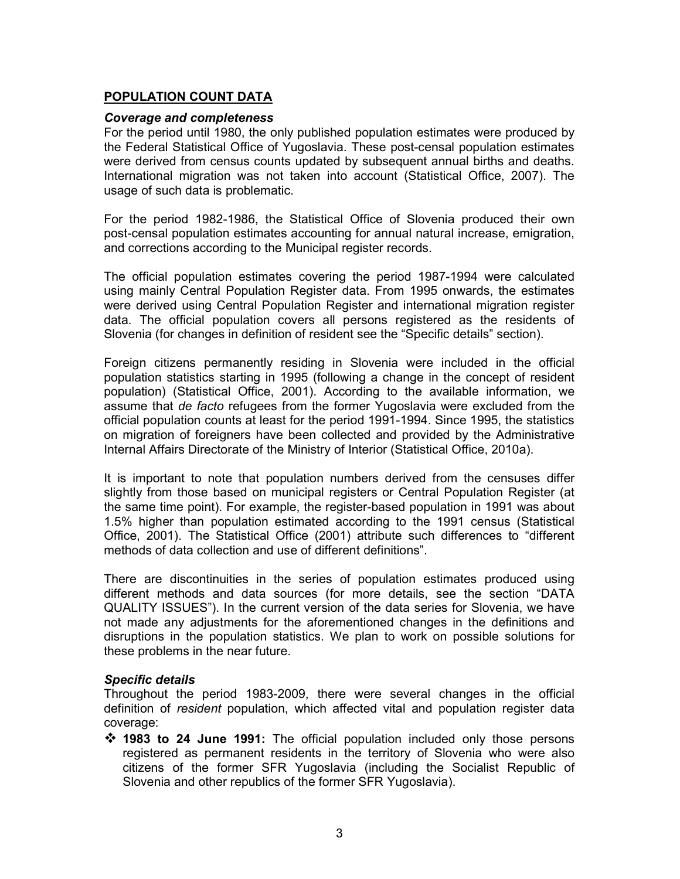## POPULATION COUNT DATA

#### Coverage and completeness

For the period until 1980, the only published population estimates were produced by the Federal Statistical Office of Yugoslavia. These post-censal population estimates were derived from census counts updated by subsequent annual births and deaths. International migration was not taken into account (Statistical Office, 2007). The usage of such data is problematic.

For the period 1982-1986, the Statistical Office of Slovenia produced their own post-censal population estimates accounting for annual natural increase, emigration, and corrections according to the Municipal register records.

The official population estimates covering the period 1987-1994 were calculated using mainly Central Population Register data. From 1995 onwards, the estimates were derived using Central Population Register and international migration register data. The official population covers all persons registered as the residents of Slovenia (for changes in definition of resident see the "Specific details" section).

Foreign citizens permanently residing in Slovenia were included in the official population statistics starting in 1995 (following a change in the concept of resident population) (Statistical Office, 2001). According to the available information, we assume that de facto refugees from the former Yugoslavia were excluded from the official population counts at least for the period 1991-1994. Since 1995, the statistics on migration of foreigners have been collected and provided by the Administrative Internal Affairs Directorate of the Ministry of Interior (Statistical Office, 2010a).

It is important to note that population numbers derived from the censuses differ slightly from those based on municipal registers or Central Population Register (at the same time point). For example, the register-based population in 1991 was about 1.5% higher than population estimated according to the 1991 census (Statistical Office, 2001). The Statistical Office (2001) attribute such differences to "different methods of data collection and use of different definitions".

There are discontinuities in the series of population estimates produced using different methods and data sources (for more details, see the section "DATA QUALITY ISSUES"). In the current version of the data series for Slovenia, we have not made any adjustments for the aforementioned changes in the definitions and disruptions in the population statistics. We plan to work on possible solutions for these problems in the near future.

#### Specific details

Throughout the period 1983-2009, there were several changes in the official definition of resident population, which affected vital and population register data coverage:

 1983 to 24 June 1991: The official population included only those persons registered as permanent residents in the territory of Slovenia who were also citizens of the former SFR Yugoslavia (including the Socialist Republic of Slovenia and other republics of the former SFR Yugoslavia).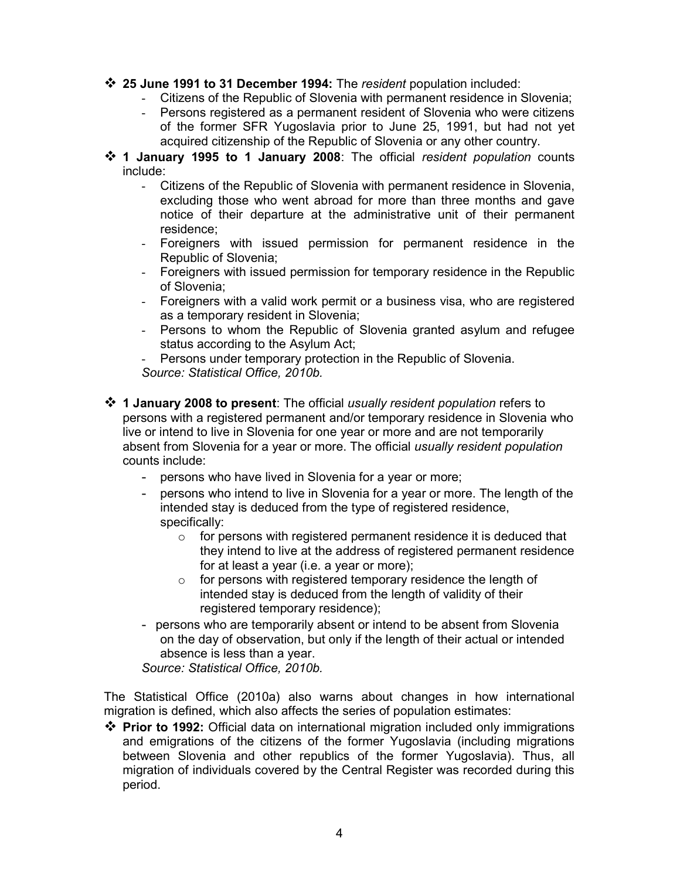- $\div$  25 June 1991 to 31 December 1994: The resident population included:
	- Citizens of the Republic of Slovenia with permanent residence in Slovenia;
	- Persons registered as a permanent resident of Slovenia who were citizens of the former SFR Yugoslavia prior to June 25, 1991, but had not yet acquired citizenship of the Republic of Slovenia or any other country.
- 1 January 1995 to 1 January 2008: The official resident population counts include:
	- Citizens of the Republic of Slovenia with permanent residence in Slovenia, excluding those who went abroad for more than three months and gave notice of their departure at the administrative unit of their permanent residence;
	- Foreigners with issued permission for permanent residence in the Republic of Slovenia;
	- Foreigners with issued permission for temporary residence in the Republic of Slovenia;
	- Foreigners with a valid work permit or a business visa, who are registered as a temporary resident in Slovenia;
	- Persons to whom the Republic of Slovenia granted asylum and refugee status according to the Asylum Act;
	- Persons under temporary protection in the Republic of Slovenia. Source: Statistical Office, 2010b.
- **\*** 1 January 2008 to present: The official usually resident population refers to persons with a registered permanent and/or temporary residence in Slovenia who live or intend to live in Slovenia for one year or more and are not temporarily absent from Slovenia for a year or more. The official usually resident population counts include:
	- persons who have lived in Slovenia for a year or more;
	- persons who intend to live in Slovenia for a year or more. The length of the intended stay is deduced from the type of registered residence, specifically:
		- $\circ$  for persons with registered permanent residence it is deduced that they intend to live at the address of registered permanent residence for at least a year (i.e. a year or more);
		- o for persons with registered temporary residence the length of intended stay is deduced from the length of validity of their registered temporary residence);
	- persons who are temporarily absent or intend to be absent from Slovenia on the day of observation, but only if the length of their actual or intended absence is less than a year.

Source: Statistical Office, 2010b.

The Statistical Office (2010a) also warns about changes in how international migration is defined, which also affects the series of population estimates:

 Prior to 1992: Official data on international migration included only immigrations and emigrations of the citizens of the former Yugoslavia (including migrations between Slovenia and other republics of the former Yugoslavia). Thus, all migration of individuals covered by the Central Register was recorded during this period.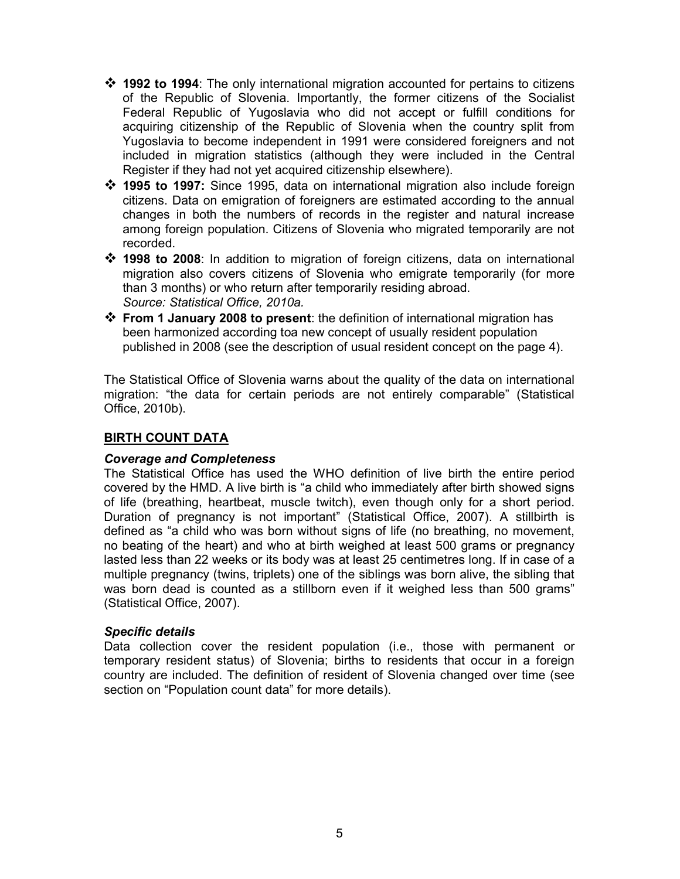- $\div$  1992 to 1994: The only international migration accounted for pertains to citizens of the Republic of Slovenia. Importantly, the former citizens of the Socialist Federal Republic of Yugoslavia who did not accept or fulfill conditions for acquiring citizenship of the Republic of Slovenia when the country split from Yugoslavia to become independent in 1991 were considered foreigners and not included in migration statistics (although they were included in the Central Register if they had not yet acquired citizenship elsewhere).
- $*$  1995 to 1997: Since 1995, data on international migration also include foreign citizens. Data on emigration of foreigners are estimated according to the annual changes in both the numbers of records in the register and natural increase among foreign population. Citizens of Slovenia who migrated temporarily are not recorded.
- 1998 to 2008: In addition to migration of foreign citizens, data on international migration also covers citizens of Slovenia who emigrate temporarily (for more than 3 months) or who return after temporarily residing abroad. Source: Statistical Office, 2010a.
- From 1 January 2008 to present: the definition of international migration has been harmonized according toa new concept of usually resident population published in 2008 (see the description of usual resident concept on the page 4).

The Statistical Office of Slovenia warns about the quality of the data on international migration: "the data for certain periods are not entirely comparable" (Statistical Office, 2010b).

### BIRTH COUNT DATA

#### Coverage and Completeness

The Statistical Office has used the WHO definition of live birth the entire period covered by the HMD. A live birth is "a child who immediately after birth showed signs of life (breathing, heartbeat, muscle twitch), even though only for a short period. Duration of pregnancy is not important" (Statistical Office, 2007). A stillbirth is defined as "a child who was born without signs of life (no breathing, no movement, no beating of the heart) and who at birth weighed at least 500 grams or pregnancy lasted less than 22 weeks or its body was at least 25 centimetres long. If in case of a multiple pregnancy (twins, triplets) one of the siblings was born alive, the sibling that was born dead is counted as a stillborn even if it weighed less than 500 grams" (Statistical Office, 2007).

#### Specific details

Data collection cover the resident population (i.e., those with permanent or temporary resident status) of Slovenia; births to residents that occur in a foreign country are included. The definition of resident of Slovenia changed over time (see section on "Population count data" for more details).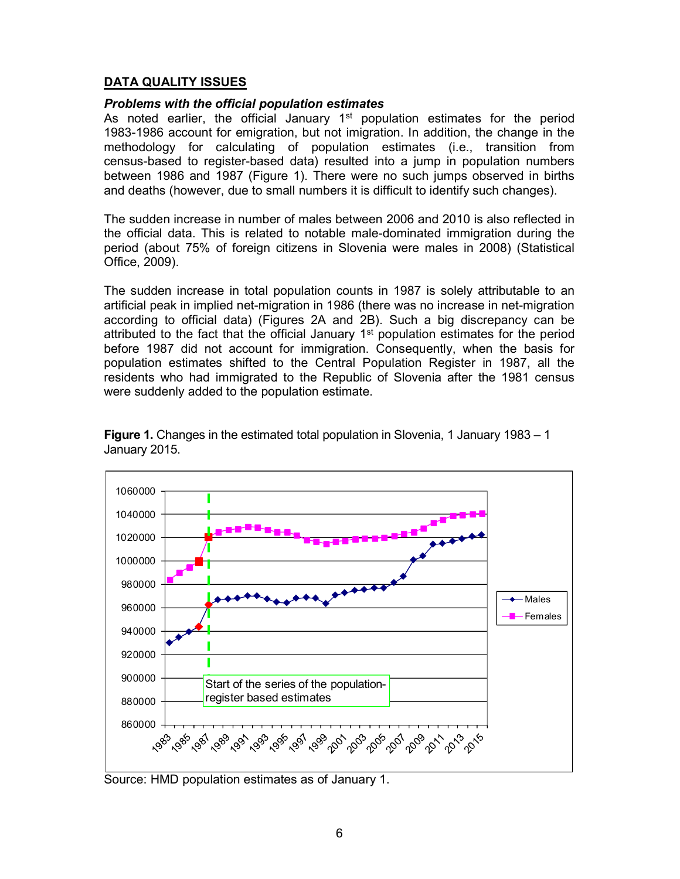## DATA QUALITY ISSUES

#### Problems with the official population estimates

As noted earlier, the official January  $1<sup>st</sup>$  population estimates for the period 1983-1986 account for emigration, but not imigration. In addition, the change in the methodology for calculating of population estimates (i.e., transition from census-based to register-based data) resulted into a jump in population numbers between 1986 and 1987 (Figure 1). There were no such jumps observed in births and deaths (however, due to small numbers it is difficult to identify such changes).

The sudden increase in number of males between 2006 and 2010 is also reflected in the official data. This is related to notable male-dominated immigration during the period (about 75% of foreign citizens in Slovenia were males in 2008) (Statistical Office, 2009).

The sudden increase in total population counts in 1987 is solely attributable to an artificial peak in implied net-migration in 1986 (there was no increase in net-migration according to official data) (Figures 2A and 2B). Such a big discrepancy can be attributed to the fact that the official January 1<sup>st</sup> population estimates for the period before 1987 did not account for immigration. Consequently, when the basis for population estimates shifted to the Central Population Register in 1987, all the residents who had immigrated to the Republic of Slovenia after the 1981 census were suddenly added to the population estimate.



Figure 1. Changes in the estimated total population in Slovenia, 1 January 1983 – 1 January 2015.

Source: HMD population estimates as of January 1.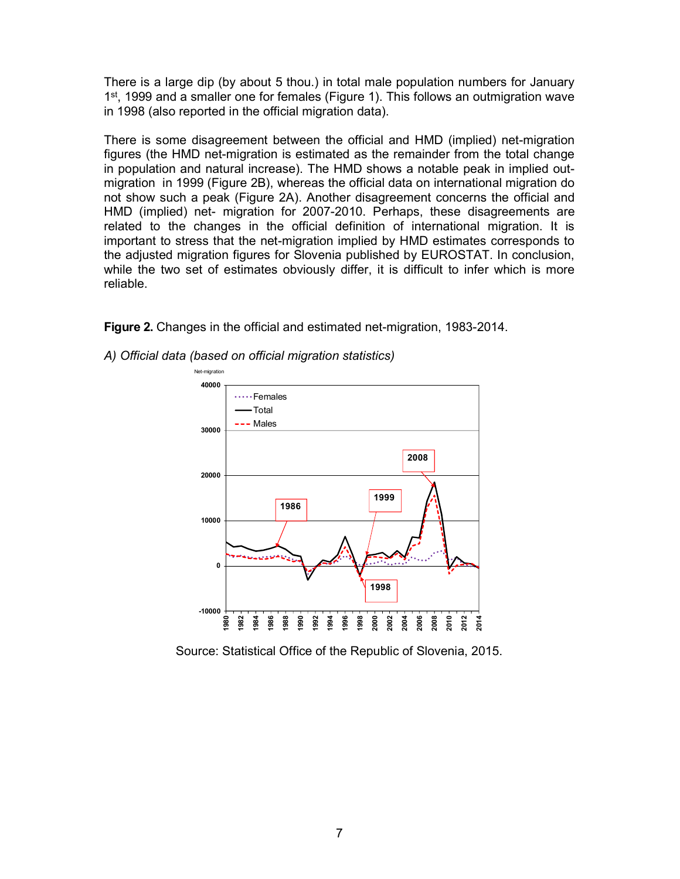There is a large dip (by about 5 thou.) in total male population numbers for January 1<sup>st</sup>, 1999 and a smaller one for females (Figure 1). This follows an outmigration wave in 1998 (also reported in the official migration data).

There is some disagreement between the official and HMD (implied) net-migration figures (the HMD net-migration is estimated as the remainder from the total change in population and natural increase). The HMD shows a notable peak in implied outmigration in 1999 (Figure 2B), whereas the official data on international migration do not show such a peak (Figure 2A). Another disagreement concerns the official and HMD (implied) net- migration for 2007-2010. Perhaps, these disagreements are related to the changes in the official definition of international migration. It is important to stress that the net-migration implied by HMD estimates corresponds to the adjusted migration figures for Slovenia published by EUROSTAT. In conclusion, while the two set of estimates obviously differ, it is difficult to infer which is more reliable.

Figure 2. Changes in the official and estimated net-migration, 1983-2014.

- Net-migration  $40000$   $\frac{1}{1}$ \*\*\*\*\*Females -Total Males **Males Males Males Males** 30000 2008 **Participal and Contract and Contract and Contract and Contract and Contract and Contract and Contract and Contract and Contract and Contract and Contract and Contract and Contract and Contract and Contract and Contra** 20000 19991986 | <mark>| | |</mark> | | 10000 بمناشف  $0 \leftarrow$ 1998 -10000 1980 1982 1984 1986 1988 1990 1992 1994 1996 1998 2000 2002 2004 2006 2008 2010 2012 2014
- A) Official data (based on official migration statistics)

Source: Statistical Office of the Republic of Slovenia, 2015.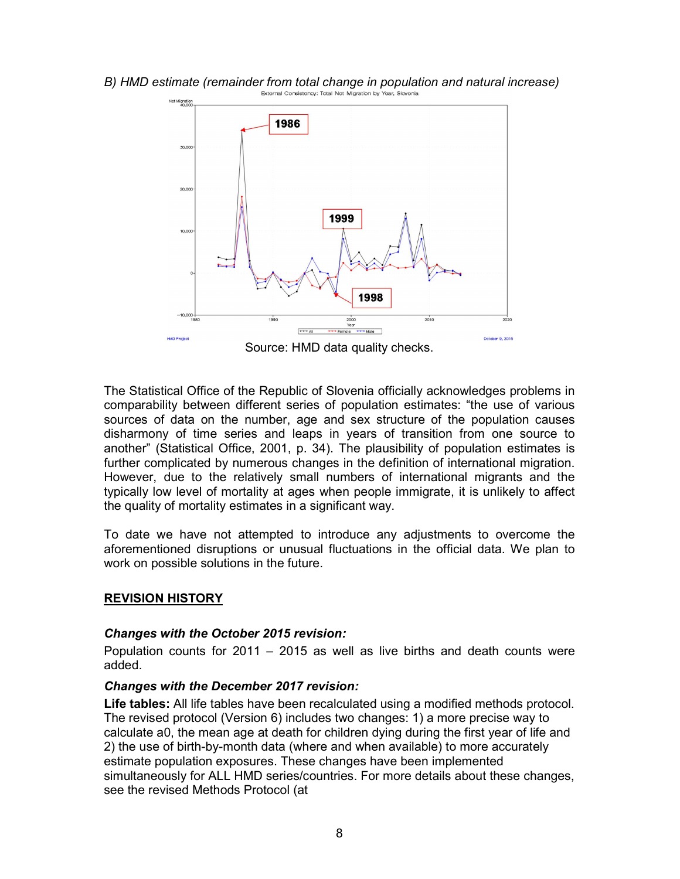

# B) HMD estimate (remainder from total change in population and natural increase)<br>External Consistency: Total Net Migration by Year, Slovenia

Source: HMD data quality checks.

The Statistical Office of the Republic of Slovenia officially acknowledges problems in comparability between different series of population estimates: "the use of various sources of data on the number, age and sex structure of the population causes disharmony of time series and leaps in years of transition from one source to another" (Statistical Office, 2001, p. 34). The plausibility of population estimates is further complicated by numerous changes in the definition of international migration. However, due to the relatively small numbers of international migrants and the typically low level of mortality at ages when people immigrate, it is unlikely to affect the quality of mortality estimates in a significant way.

To date we have not attempted to introduce any adjustments to overcome the aforementioned disruptions or unusual fluctuations in the official data. We plan to work on possible solutions in the future.

#### REVISION HISTORY

#### Changes with the October 2015 revision:

Population counts for 2011 – 2015 as well as live births and death counts were added.

#### Changes with the December 2017 revision:

Life tables: All life tables have been recalculated using a modified methods protocol. The revised protocol (Version 6) includes two changes: 1) a more precise way to calculate a0, the mean age at death for children dying during the first year of life and 2) the use of birth-by-month data (where and when available) to more accurately estimate population exposures. These changes have been implemented simultaneously for ALL HMD series/countries. For more details about these changes, see the revised Methods Protocol (at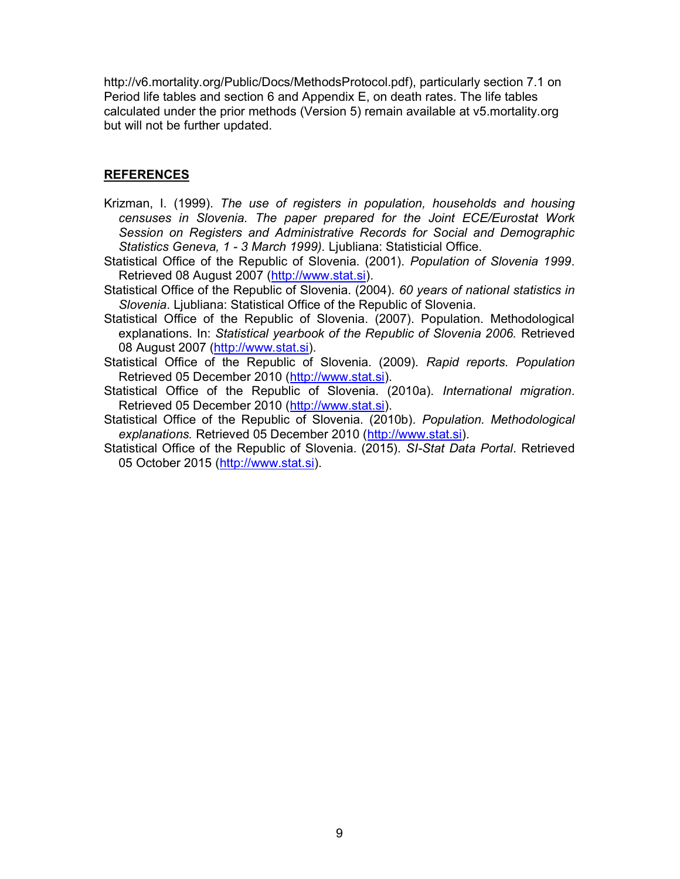http://v6.mortality.org/Public/Docs/MethodsProtocol.pdf), particularly section 7.1 on Period life tables and section 6 and Appendix E, on death rates. The life tables calculated under the prior methods (Version 5) remain available at v5.mortality.org but will not be further updated.

## REFERENCES

- Krizman, I. (1999). The use of registers in population, households and housing censuses in Slovenia. The paper prepared for the Joint ECE/Eurostat Work Session on Registers and Administrative Records for Social and Demographic Statistics Geneva, 1 - 3 March 1999). Ljubliana: Statisticial Office.
- Statistical Office of the Republic of Slovenia. (2001). Population of Slovenia 1999. Retrieved 08 August 2007 (http://www.stat.si).
- Statistical Office of the Republic of Slovenia. (2004). 60 years of national statistics in Slovenia. Ljubliana: Statistical Office of the Republic of Slovenia.
- Statistical Office of the Republic of Slovenia. (2007). Population. Methodological explanations. In: Statistical yearbook of the Republic of Slovenia 2006. Retrieved 08 August 2007 (http://www.stat.si).
- Statistical Office of the Republic of Slovenia. (2009). Rapid reports. Population Retrieved 05 December 2010 (http://www.stat.si).
- Statistical Office of the Republic of Slovenia. (2010a). International migration. Retrieved 05 December 2010 (http://www.stat.si).
- Statistical Office of the Republic of Slovenia. (2010b). Population. Methodological explanations. Retrieved 05 December 2010 (http://www.stat.si).
- Statistical Office of the Republic of Slovenia. (2015). SI-Stat Data Portal. Retrieved 05 October 2015 (http://www.stat.si).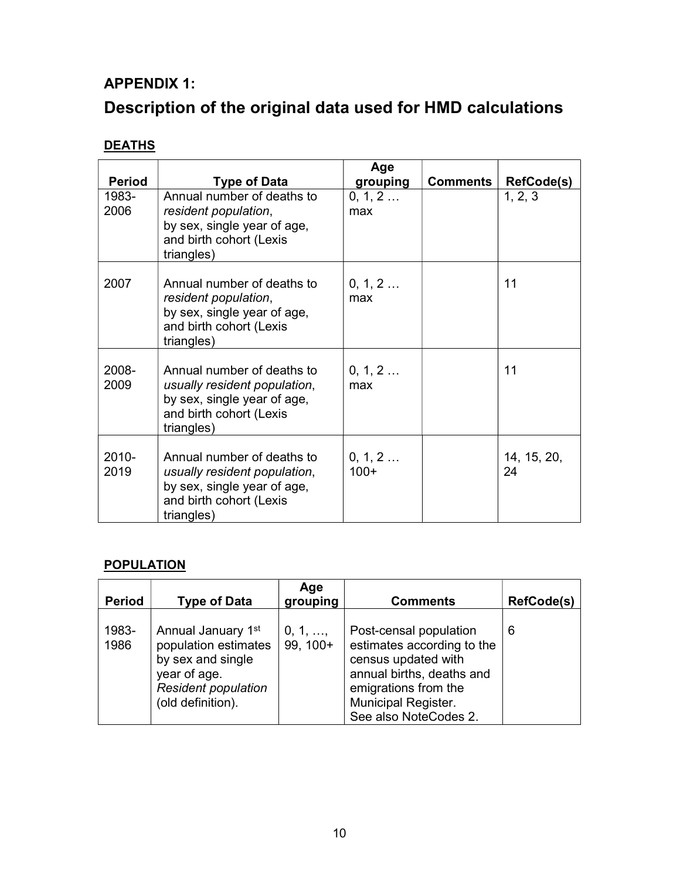# APPENDIX 1: Description of the original data used for HMD calculations

# **DEATHS**

| <b>Period</b>    | <b>Type of Data</b>                                                                                                                | Age<br>grouping   | <b>Comments</b> | <b>RefCode(s)</b> |
|------------------|------------------------------------------------------------------------------------------------------------------------------------|-------------------|-----------------|-------------------|
| 1983-<br>2006    | Annual number of deaths to<br>resident population,<br>by sex, single year of age,<br>and birth cohort (Lexis<br>triangles)         | 0, 1, 2<br>max    |                 | 1, 2, 3           |
| 2007             | Annual number of deaths to<br>resident population,<br>by sex, single year of age,<br>and birth cohort (Lexis<br>triangles)         | 0, 1, 2<br>max    |                 | 11                |
| 2008-<br>2009    | Annual number of deaths to<br>usually resident population,<br>by sex, single year of age,<br>and birth cohort (Lexis<br>triangles) | 0, 1, 2<br>max    |                 | 11                |
| $2010 -$<br>2019 | Annual number of deaths to<br>usually resident population,<br>by sex, single year of age,<br>and birth cohort (Lexis<br>triangles) | 0, 1, 2<br>$100+$ |                 | 14, 15, 20,<br>24 |

# **POPULATION**

| <b>Period</b> | <b>Type of Data</b>                                                                                                                | Age<br>grouping              | <b>Comments</b>                                                                                                                                                                  | RefCode(s) |
|---------------|------------------------------------------------------------------------------------------------------------------------------------|------------------------------|----------------------------------------------------------------------------------------------------------------------------------------------------------------------------------|------------|
| 1983-<br>1986 | Annual January 1st<br>population estimates<br>by sex and single<br>year of age.<br><b>Resident population</b><br>(old definition). | $0, 1, \ldots$<br>$99, 100+$ | Post-censal population<br>estimates according to the<br>census updated with<br>annual births, deaths and<br>emigrations from the<br>Municipal Register.<br>See also NoteCodes 2. | 6          |